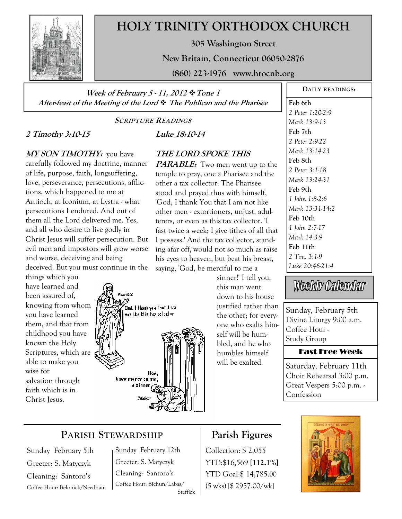

# **HOLY TRINITY ORTHODOX CHURCH**

**305 Washington Street** 

**New Britain, Connecticut 06050-2876** 

**(860) 223-1976 www.htocnb.org** 

**Week of February 5 - 11, 2012 Tone 1 After-feast of the Meeting of the Lord The Publican and the Pharisee** 

#### **SCRIPTURE READINGS**

**Luke 18:10-14** 

**THE LORD SPOKE THIS** 

**PARABLE:** Two men went up to the temple to pray, one a Pharisee and the other a tax collector. The Pharisee stood and prayed thus with himself, 'God, I thank You that I am not like other men - extortioners, unjust, adulterers, or even as this tax collector. 'I fast twice a week; I give tithes of all that I possess.' And the tax collector, standing afar off, would not so much as raise his eyes to heaven, but beat his breast,

## **2 Timothy 3:10-15**

**MY SON TIMOTHY:** you have

carefully followed my doctrine, manner of life, purpose, faith, longsuffering, love, perseverance, persecutions, afflictions, which happened to me at Antioch, at Iconium, at Lystra - what persecutions I endured. And out of them all the Lord delivered me. Yes, and all who desire to live godly in Christ Jesus will suffer persecution. But evil men and impostors will grow worse and worse, deceiving and being deceived. But you must continue in the

things which you have learned and been assured of, knowing from whom you have learned them, and that from childhood you have known the Holy Scriptures, which are able to make you wise for salvation through faith which is in Christ Jesus.



sinner!' I tell you, this man went down to his house justified rather than the other; for everyone who exalts himself will be humbled, and he who humbles himself will be exalted.

**DAILY READINGS:** 

**Feb 6th** 

*2 Peter 1:20-2:9 Mark 13:9-13*  **Feb 7th**  *2 Peter 2:9-22 Mark 13:14-23*  **Feb 8th**  *2 Peter 3:1-18 Mark 13:24-31*  **Feb 9th**  *1 John 1:8-2:6 Mark 13:31-14:2*  **Feb 10th**  *1 John 2:7-17 Mark 14:3-9*  **Feb 11th**  *2 Tim. 3:1-9 Luke 20:46-21:4* 

Weekly Calendar

Sunday, February 5th Divine Liturgy 9:00 a.m. Coffee Hour - Study Group

#### Fast Free Week

Saturday, February 11th Choir Rehearsal 3:00 p.m. Great Vespers 5:00 p.m. - Confession

# **PARISH STEWARDSHIP**

Sunday February 5th Greeter: S. Matyczyk Cleaning: Santoro's Coffee Hour: Belonick/Needham Sunday February 12th Greeter: S. Matyczyk Cleaning: Santoro's Coffee Hour: Bichun/Labas/ Steffick

## **Parish Figures**

Collection: \$ 2,055 YTD:\$16,569 **[112.1%]** YTD Goal:\$ 14,785.00 (5 wks) [\$ 2957.00/wk]